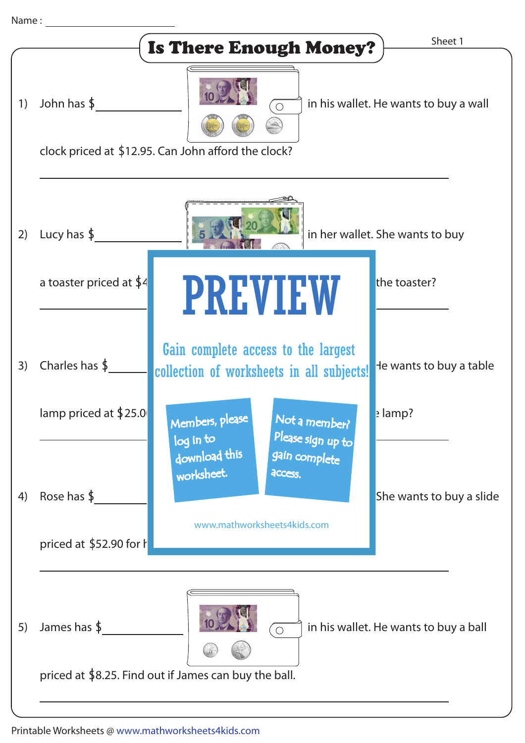